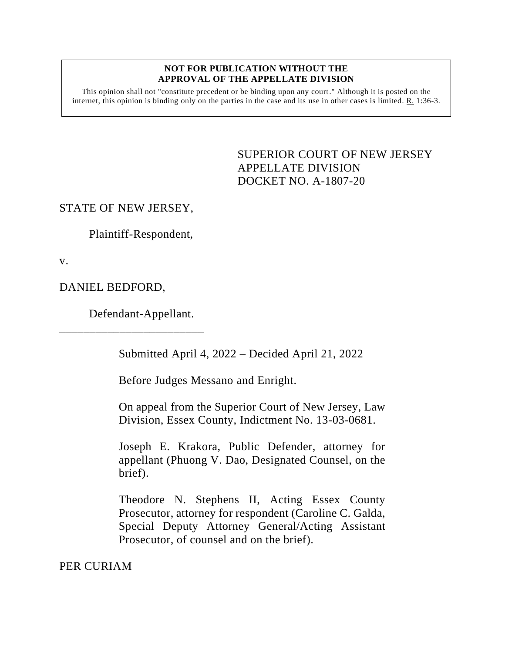#### **NOT FOR PUBLICATION WITHOUT THE APPROVAL OF THE APPELLATE DIVISION**

This opinion shall not "constitute precedent or be binding upon any court." Although it is posted on the internet, this opinion is binding only on the parties in the case and its use in other cases is limited.  $R_1$  1:36-3.

> <span id="page-0-0"></span>SUPERIOR COURT OF NEW JERSEY APPELLATE DIVISION DOCKET NO. A-1807-20

# STATE OF NEW JERSEY,

Plaintiff-Respondent,

v.

DANIEL BEDFORD,

Defendant-Appellant.

\_\_\_\_\_\_\_\_\_\_\_\_\_\_\_\_\_\_\_\_\_\_\_\_

Submitted April 4, 2022 – Decided April 21, 2022

Before Judges Messano and Enright.

On appeal from the Superior Court of New Jersey, Law Division, Essex County, Indictment No. 13-03-0681.

Joseph E. Krakora, Public Defender, attorney for appellant (Phuong V. Dao, Designated Counsel, on the brief).

Theodore N. Stephens II, Acting Essex County Prosecutor, attorney for respondent (Caroline C. Galda, Special Deputy Attorney General/Acting Assistant Prosecutor, of counsel and on the brief).

PER CURIAM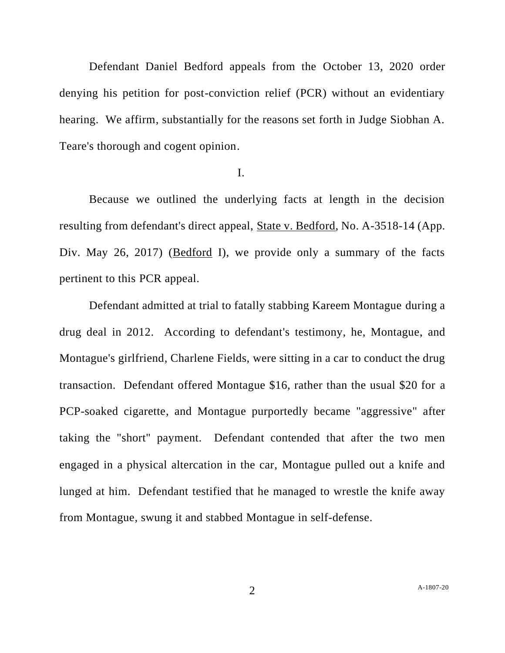Defendant Daniel Bedford appeals from the October 13, 2020 order denying his petition for post-conviction relief (PCR) without an evidentiary hearing. We affirm, substantially for the reasons set forth in Judge Siobhan A. Teare's thorough and cogent opinion.

### I.

Because we outlined the underlying facts at length in the decision resulting from defendant's direct appeal, State v. Bedford, No. A-3518-14 (App. Div. May 26, 2017) (Bedford I), we provide only a summary of the facts pertinent to this PCR appeal.

Defendant admitted at trial to fatally stabbing Kareem Montague during a drug deal in 2012. According to defendant's testimony, he, Montague, and Montague's girlfriend, Charlene Fields, were sitting in a car to conduct the drug transaction. Defendant offered Montague \$16, rather than the usual \$20 for a PCP-soaked cigarette, and Montague purportedly became "aggressive" after taking the "short" payment. Defendant contended that after the two men engaged in a physical altercation in the car, Montague pulled out a knife and lunged at him. Defendant testified that he managed to wrestle the knife away from Montague, swung it and stabbed Montague in self-defense.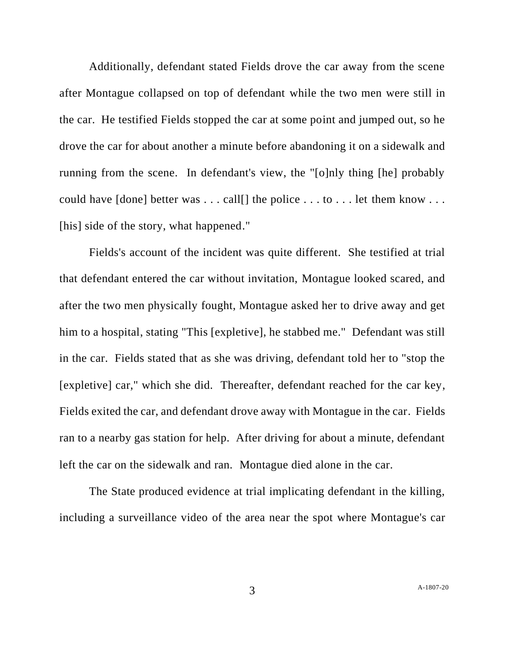Additionally, defendant stated Fields drove the car away from the scene after Montague collapsed on top of defendant while the two men were still in the car. He testified Fields stopped the car at some point and jumped out, so he drove the car for about another a minute before abandoning it on a sidewalk and running from the scene. In defendant's view, the "[o]nly thing [he] probably could have [done] better was . . . call[] the police . . . to . . . let them know . . . [his] side of the story, what happened."

Fields's account of the incident was quite different. She testified at trial that defendant entered the car without invitation, Montague looked scared, and after the two men physically fought, Montague asked her to drive away and get him to a hospital, stating "This [expletive], he stabbed me." Defendant was still in the car. Fields stated that as she was driving, defendant told her to "stop the [expletive] car," which she did. Thereafter, defendant reached for the car key, Fields exited the car, and defendant drove away with Montague in the car. Fields ran to a nearby gas station for help. After driving for about a minute, defendant left the car on the sidewalk and ran. Montague died alone in the car.

The State produced evidence at trial implicating defendant in the killing, including a surveillance video of the area near the spot where Montague's car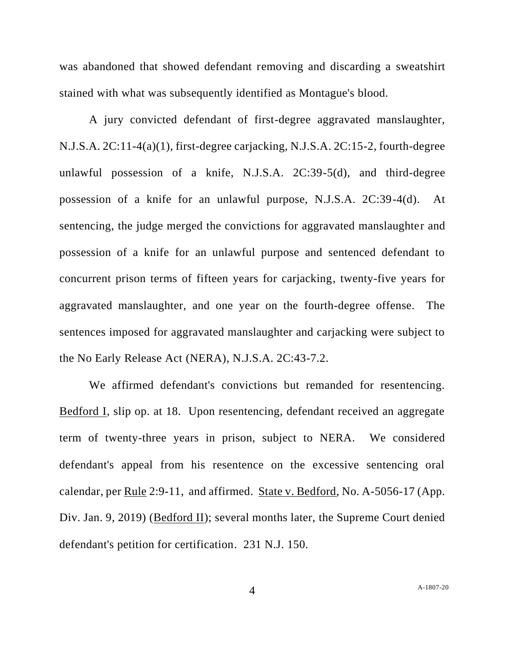was abandoned that showed defendant removing and discarding a sweatshirt stained with what was subsequently identified as Montague's blood.

A jury convicted defendant of first-degree aggravated manslaughter, N.J.S.A. 2C:11-4(a)(1), first-degree carjacking, N.J.S.A. 2C:15-2, fourth-degree unlawful possession of a knife, N.J.S.A. 2C:39-5(d), and third-degree possession of a knife for an unlawful purpose, N.J.S.A. 2C:39-4(d). At sentencing, the judge merged the convictions for aggravated manslaughter and possession of a knife for an unlawful purpose and sentenced defendant to concurrent prison terms of fifteen years for carjacking, twenty-five years for aggravated manslaughter, and one year on the fourth-degree offense. The sentences imposed for aggravated manslaughter and carjacking were subject to the No Early Release Act (NERA), N.J.S.A. 2C:43-7.2.

We affirmed defendant's convictions but remanded for resentencing. Bedford I, slip op. at 18. Upon resentencing, defendant received an aggregate term of twenty-three years in prison, subject to NERA. We considered defendant's appeal from his resentence on the excessive sentencing oral calendar, per Rule 2:9-11, and affirmed. State v. Bedford, No. A-5056-17 (App. Div. Jan. 9, 2019) (Bedford II); several months later, the Supreme Court denied defendant's petition for certification. 231 N.J. 150.

4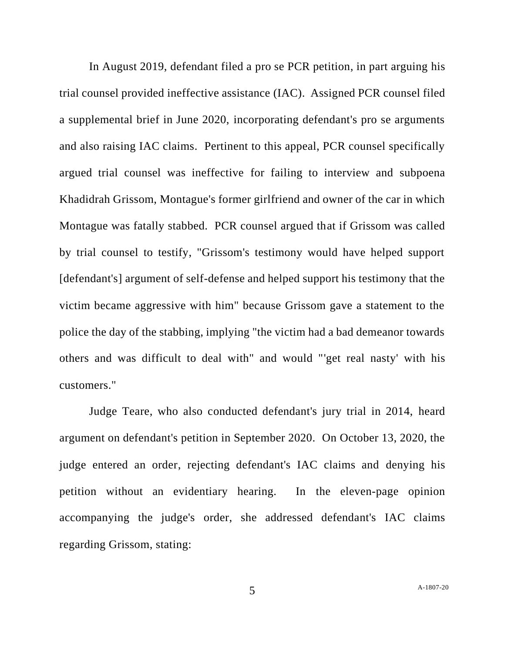In August 2019, defendant filed a pro se PCR petition, in part arguing his trial counsel provided ineffective assistance (IAC). Assigned PCR counsel filed a supplemental brief in June 2020, incorporating defendant's pro se arguments and also raising IAC claims. Pertinent to this appeal, PCR counsel specifically argued trial counsel was ineffective for failing to interview and subpoena Khadidrah Grissom, Montague's former girlfriend and owner of the car in which Montague was fatally stabbed. PCR counsel argued that if Grissom was called by trial counsel to testify, "Grissom's testimony would have helped support [defendant's] argument of self-defense and helped support his testimony that the victim became aggressive with him" because Grissom gave a statement to the police the day of the stabbing, implying "the victim had a bad demeanor towards others and was difficult to deal with" and would "'get real nasty' with his customers."

Judge Teare, who also conducted defendant's jury trial in 2014, heard argument on defendant's petition in September 2020. On October 13, 2020, the judge entered an order, rejecting defendant's IAC claims and denying his petition without an evidentiary hearing. In the eleven-page opinion accompanying the judge's order, she addressed defendant's IAC claims regarding Grissom, stating:

5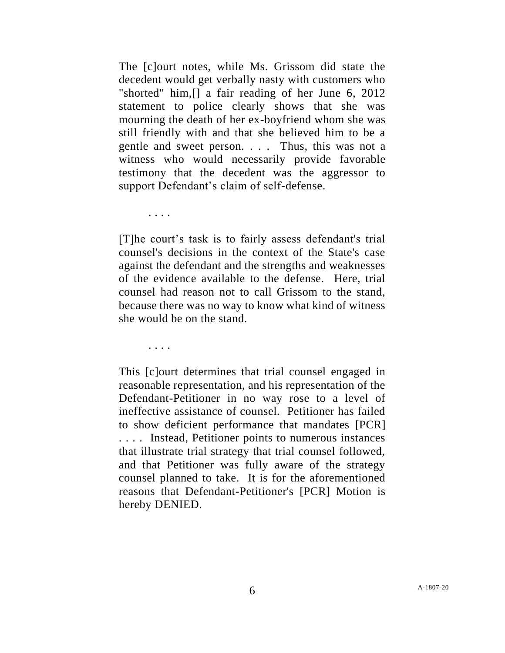The [c]ourt notes, while Ms. Grissom did state the decedent would get verbally nasty with customers who "shorted" him,[] a fair reading of her June 6, 2012 statement to police clearly shows that she was mourning the death of her ex-boyfriend whom she was still friendly with and that she believed him to be a gentle and sweet person. . . . Thus, this was not a witness who would necessarily provide favorable testimony that the decedent was the aggressor to support Defendant's claim of self-defense.

. . . .

[T]he court's task is to fairly assess defendant's trial counsel's decisions in the context of the State's case against the defendant and the strengths and weaknesses of the evidence available to the defense. Here, trial counsel had reason not to call Grissom to the stand, because there was no way to know what kind of witness she would be on the stand.

. . . .

This [c]ourt determines that trial counsel engaged in reasonable representation, and his representation of the Defendant-Petitioner in no way rose to a level of ineffective assistance of counsel. Petitioner has failed to show deficient performance that mandates [PCR] . . . . Instead, Petitioner points to numerous instances that illustrate trial strategy that trial counsel followed, and that Petitioner was fully aware of the strategy counsel planned to take. It is for the aforementioned reasons that Defendant-Petitioner's [PCR] Motion is hereby DENIED.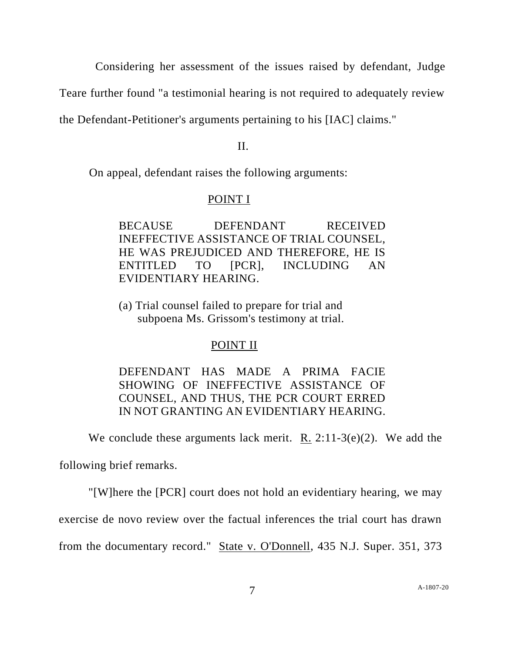Considering her assessment of the issues raised by defendant, Judge

Teare further found "a testimonial hearing is not required to adequately review

the Defendant-Petitioner's arguments pertaining to his [IAC] claims."

II.

On appeal, defendant raises the following arguments:

# POINT I

BECAUSE DEFENDANT RECEIVED INEFFECTIVE ASSISTANCE OF TRIAL COUNSEL, HE WAS PREJUDICED AND THEREFORE, HE IS ENTITLED TO [PCR], INCLUDING AN EVIDENTIARY HEARING.

(a) Trial counsel failed to prepare for trial and subpoena Ms. Grissom's testimony at trial.

# POINT II

DEFENDANT HAS MADE A PRIMA FACIE SHOWING OF INEFFECTIVE ASSISTANCE OF COUNSEL, AND THUS, THE PCR COURT ERRED IN NOT GRANTING AN EVIDENTIARY HEARING.

We conclude these arguments lack merit. R.  $2:11-3(e)(2)$ . We add the

following brief remarks.

"[W]here the [PCR] court does not hold an evidentiary hearing, we may

exercise de novo review over the factual inferences the trial court has drawn

from the documentary record." State v. O'Donnell, 435 N.J. Super. 351, 373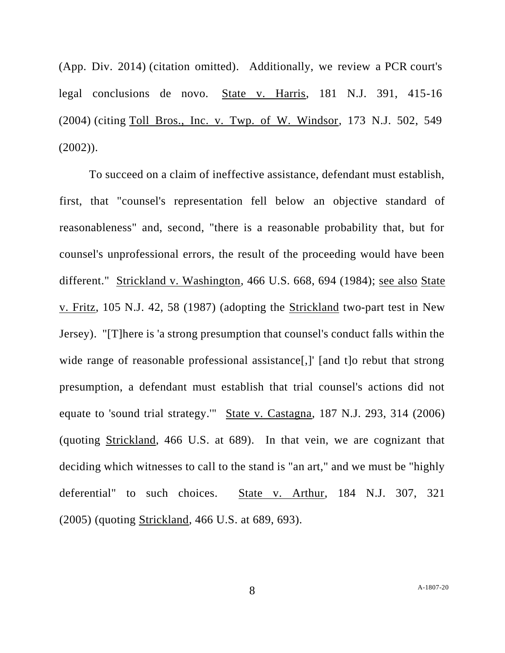(App. Div. 2014) (citation omitted). Additionally, we review a PCR court's legal conclusions de novo. State v. Harris, 181 N.J. 391, 415-16 (2004) (citing Toll Bros., Inc. v. Twp. of W. Windsor, 173 N.J. 502, 549  $(2002)$ ).

To succeed on a claim of ineffective assistance, defendant must establish, first, that "counsel's representation fell below an objective standard of reasonableness" and, second, "there is a reasonable probability that, but for counsel's unprofessional errors, the result of the proceeding would have been different." Strickland v. Washington, 466 U.S. 668, 694 (1984); see also State v. Fritz, 105 N.J. 42, 58 (1987) (adopting the Strickland two-part test in New Jersey). "[T]here is 'a strong presumption that counsel's conduct falls within the wide range of reasonable professional assistance<sup>[1]</sup>, [and t]o rebut that strong presumption, a defendant must establish that trial counsel's actions did not equate to 'sound trial strategy.'" State v. Castagna, 187 N.J. 293, 314 (2006) (quoting Strickland, 466 U.S. at 689). In that vein, we are cognizant that deciding which witnesses to call to the stand is "an art," and we must be "highly deferential" to such choices. State v. Arthur, 184 N.J. 307, 321 (2005) (quoting Strickland, 466 U.S. at 689, 693).

8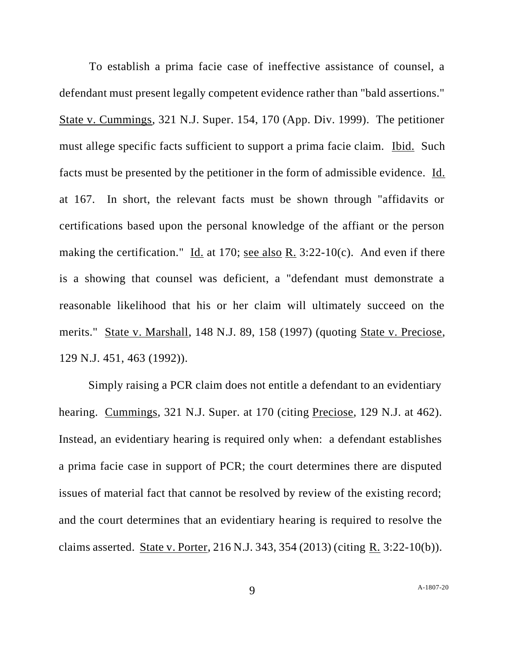To establish a prima facie case of ineffective assistance of counsel, a defendant must present legally competent evidence rather than "bald assertions." State v. Cummings, 321 N.J. Super. 154, 170 (App. Div. 1999). The petitioner must allege specific facts sufficient to support a prima facie claim. Ibid. Such facts must be presented by the petitioner in the form of admissible evidence. Id. at 167. In short, the relevant facts must be shown through "affidavits or certifications based upon the personal knowledge of the affiant or the person making the certification." Id. at 170; see also R. 3:22-10(c). And even if there is a showing that counsel was deficient, a "defendant must demonstrate a reasonable likelihood that his or her claim will ultimately succeed on the merits." State v. Marshall, 148 N.J. 89, 158 (1997) (quoting State v. Preciose, 129 N.J. 451, 463 (1992)).

Simply raising a PCR claim does not entitle a defendant to an evidentiary hearing. Cummings, 321 N.J. Super. at 170 (citing Preciose, 129 N.J. at 462). Instead, an evidentiary hearing is required only when: a defendant establishes a prima facie case in support of PCR; the court determines there are disputed issues of material fact that cannot be resolved by review of the existing record; and the court determines that an evidentiary hearing is required to resolve the claims asserted. State v. Porter, 216 N.J. 343, 354 (2013) (citing R. 3:22-10(b)).